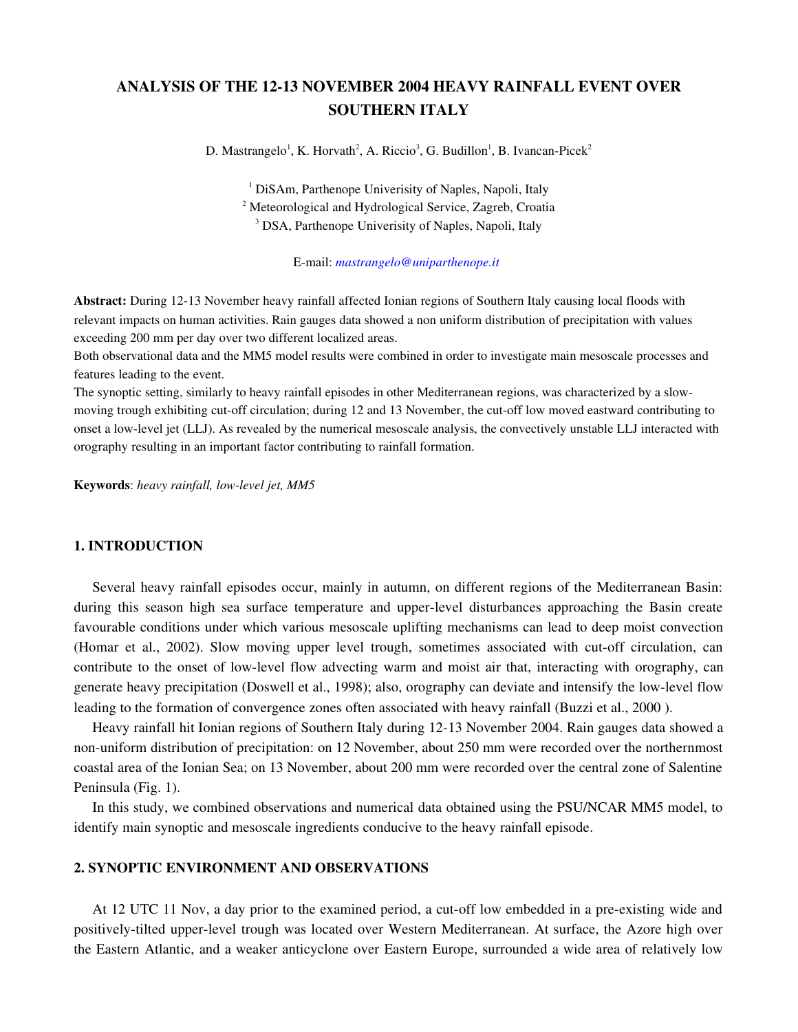# ANALYSIS OF THE 1213 NOVEMBER 2004 HEAVY RAINFALL EVENT OVER SOUTHERN ITALY

D. Mastrangelo<sup>1</sup>, K. Horvath<sup>2</sup>, A. Riccio<sup>3</sup>, G. Budillon<sup>1</sup>, B. Ivancan-Picek<sup>2</sup>

<sup>1</sup> DiSAm, Parthenope Univerisity of Naples, Napoli, Italy <sup>2</sup> Meteorological and Hydrological Service, Zagreb, Croatia <sup>3</sup> DSA, Parthenope Univerisity of Naples, Napoli, Italy

Email: *mastrangelo@uniparthenope.it*

Abstract: During 12-13 November heavy rainfall affected Ionian regions of Southern Italy causing local floods with relevant impacts on human activities. Rain gauges data showed a non uniform distribution of precipitation with values exceeding 200 mm per day over two different localized areas.

Both observational data and the MM5 model results were combined in order to investigate main mesoscale processes and features leading to the event.

The synoptic setting, similarly to heavy rainfall episodes in other Mediterranean regions, was characterized by a slowmoving trough exhibiting cut-off circulation; during 12 and 13 November, the cut-off low moved eastward contributing to onset a low-level jet (LLJ). As revealed by the numerical mesoscale analysis, the convectively unstable LLJ interacted with orography resulting in an important factor contributing to rainfall formation.

Keywords: *heavy rainfall, lowlevel jet, MM5*

## 1. INTRODUCTION

Several heavy rainfall episodes occur, mainly in autumn, on different regions of the Mediterranean Basin: during this season high sea surface temperature and upper-level disturbances approaching the Basin create favourable conditions under which various mesoscale uplifting mechanisms can lead to deep moist convection (Homar et al., 2002). Slow moving upper level trough, sometimes associated with cutoff circulation, can contribute to the onset of low-level flow advecting warm and moist air that, interacting with orography, can generate heavy precipitation (Doswell et al., 1998); also, orography can deviate and intensify the low-level flow leading to the formation of convergence zones often associated with heavy rainfall (Buzzi et al., 2000 ).

Heavy rainfall hit Ionian regions of Southern Italy during 12-13 November 2004. Rain gauges data showed a non-uniform distribution of precipitation: on 12 November, about 250 mm were recorded over the northernmost coastal area of the Ionian Sea; on 13 November, about 200 mm were recorded over the central zone of Salentine Peninsula (Fig. 1).

In this study, we combined observations and numerical data obtained using the PSU/NCAR MM5 model, to identify main synoptic and mesoscale ingredients conducive to the heavy rainfall episode.

## 2. SYNOPTIC ENVIRONMENT AND OBSERVATIONS

At 12 UTC 11 Nov, a day prior to the examined period, a cut-off low embedded in a pre-existing wide and positivelytilted upperlevel trough was located over Western Mediterranean. At surface, the Azore high over the Eastern Atlantic, and a weaker anticyclone over Eastern Europe, surrounded a wide area of relatively low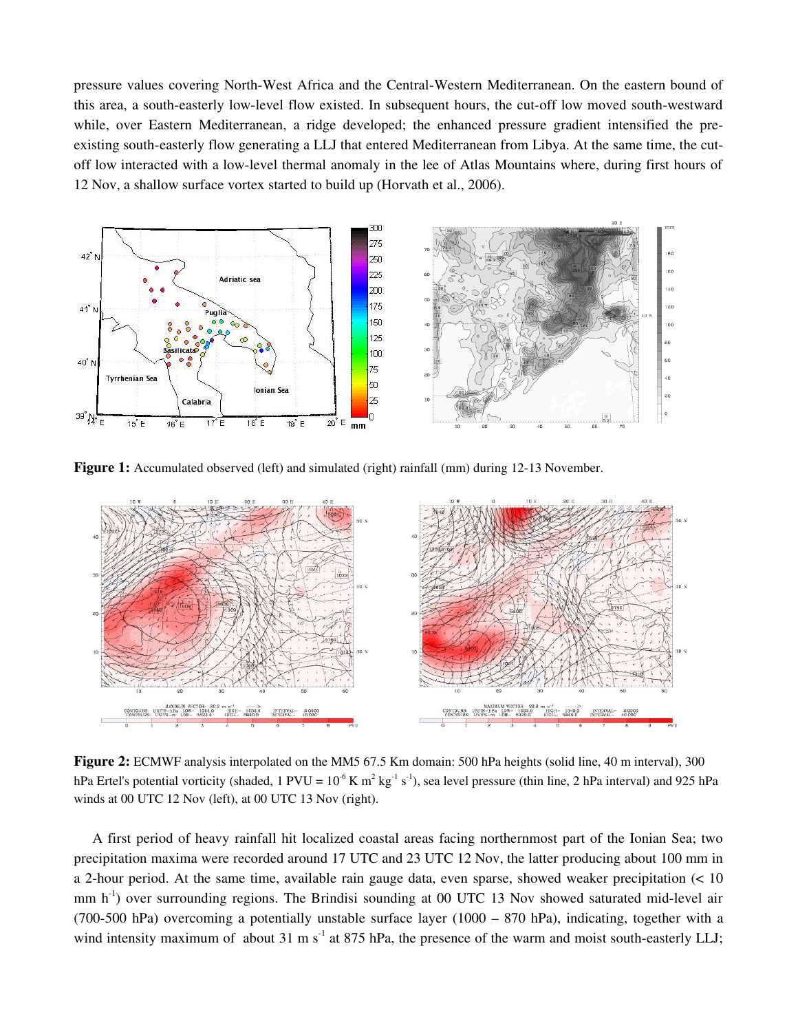pressure values covering North-West Africa and the Central-Western Mediterranean. On the eastern bound of this area, a south-easterly low-level flow existed. In subsequent hours, the cut-off low moved south-westward while, over Eastern Mediterranean, a ridge developed; the enhanced pressure gradient intensified the preexisting southeasterly flow generating a LLJ that entered Mediterranean from Libya. At the same time, the cutoff low interacted with a low-level thermal anomaly in the lee of Atlas Mountains where, during first hours of 12 Nov, a shallow surface vortex started to build up (Horvath et al., 2006).



Figure 1: Accumulated observed (left) and simulated (right) rainfall (mm) during 12-13 November.



Figure 2: ECMWF analysis interpolated on the MM5 67.5 Km domain: 500 hPa heights (solid line, 40 m interval), 300 hPa Ertel's potential vorticity (shaded, 1 PVU =  $10^{-6}$  K m<sup>2</sup> kg<sup>-1</sup> s<sup>-1</sup>), sea level pressure (thin line, 2 hPa interval) and 925 hPa winds at 00 UTC 12 Nov (left), at 00 UTC 13 Nov (right).

A first period of heavy rainfall hit localized coastal areas facing northernmost part of the Ionian Sea; two precipitation maxima were recorded around 17 UTC and 23 UTC 12 Nov, the latter producing about 100 mm in a 2hour period. At the same time, available rain gauge data, even sparse, showed weaker precipitation (< 10 mm  $h^{-1}$ ) over surrounding regions. The Brindisi sounding at 00 UTC 13 Nov showed saturated mid-level air (700-500 hPa) overcoming a potentially unstable surface layer (1000 – 870 hPa), indicating, together with a wind intensity maximum of about 31 m s<sup>-1</sup> at 875 hPa, the presence of the warm and moist south-easterly LLJ;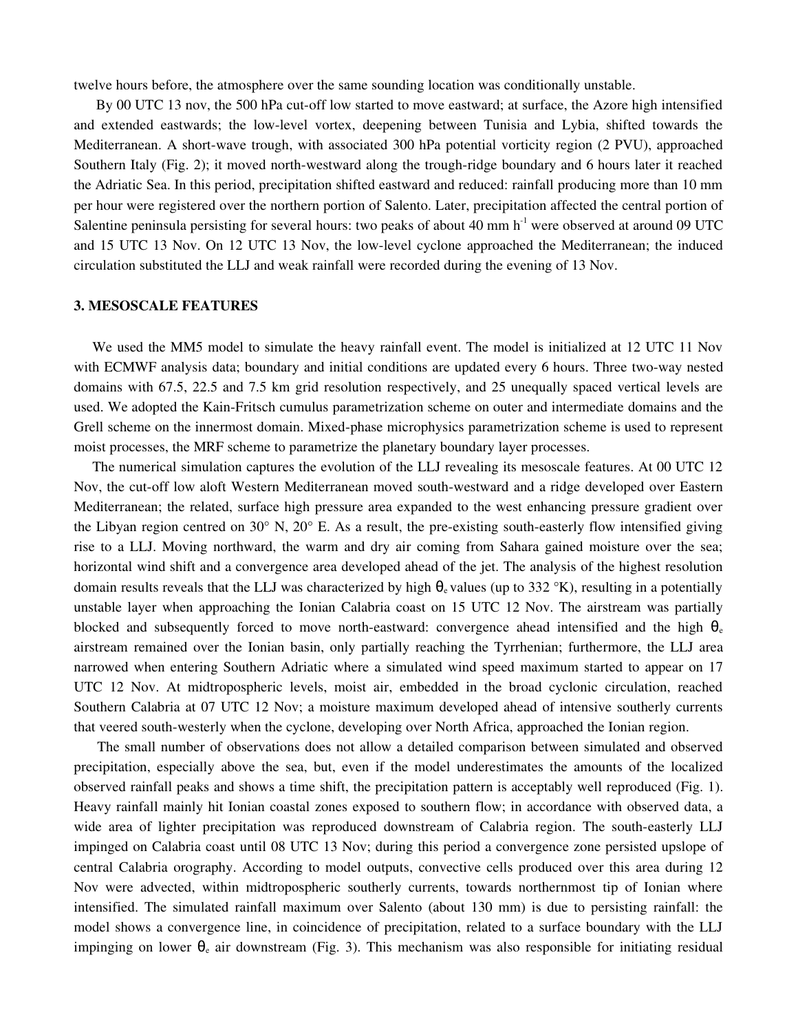twelve hours before, the atmosphere over the same sounding location was conditionally unstable.

By 00 UTC 13 nov, the 500 hPa cut-off low started to move eastward; at surface, the Azore high intensified and extended eastwards; the low-level vortex, deepening between Tunisia and Lybia, shifted towards the Mediterranean. A short-wave trough, with associated 300 hPa potential vorticity region (2 PVU), approached Southern Italy (Fig. 2); it moved north-westward along the trough-ridge boundary and 6 hours later it reached the Adriatic Sea. In this period, precipitation shifted eastward and reduced: rainfall producing more than 10 mm per hour were registered over the northern portion of Salento. Later, precipitation affected the central portion of Salentine peninsula persisting for several hours: two peaks of about 40 mm h<sup>-1</sup> were observed at around 09 UTC and 15 UTC 13 Nov. On 12 UTC 13 Nov, the low-level cyclone approached the Mediterranean; the induced circulation substituted the LLJ and weak rainfall were recorded during the evening of 13 Nov.

#### 3. MESOSCALE FEATURES

We used the MM5 model to simulate the heavy rainfall event. The model is initialized at 12 UTC 11 Nov with ECMWF analysis data; boundary and initial conditions are updated every 6 hours. Three two-way nested domains with 67.5, 22.5 and 7.5 km grid resolution respectively, and 25 unequally spaced vertical levels are used. We adopted the Kain-Fritsch cumulus parametrization scheme on outer and intermediate domains and the Grell scheme on the innermost domain. Mixed-phase microphysics parametrization scheme is used to represent moist processes, the MRF scheme to parametrize the planetary boundary layer processes.

The numerical simulation captures the evolution of the LLJ revealing its mesoscale features. At 00 UTC 12 Nov, the cut-off low aloft Western Mediterranean moved south-westward and a ridge developed over Eastern Mediterranean; the related, surface high pressure area expanded to the west enhancing pressure gradient over the Libyan region centred on  $30^{\circ}$  N,  $20^{\circ}$  E. As a result, the pre-existing south-easterly flow intensified giving rise to a LLJ. Moving northward, the warm and dry air coming from Sahara gained moisture over the sea; horizontal wind shift and a convergence area developed ahead of the jet. The analysis of the highest resolution domain results reveals that the LLJ was characterized by high  $\theta_e$  values (up to 332 °K), resulting in a potentially unstable layer when approaching the Ionian Calabria coast on 15 UTC 12 Nov. The airstream was partially blocked and subsequently forced to move north-eastward: convergence ahead intensified and the high  $\theta_e$ airstream remained over the Ionian basin, only partially reaching the Tyrrhenian; furthermore, the LLJ area narrowed when entering Southern Adriatic where a simulated wind speed maximum started to appear on 17 UTC 12 Nov. At midtropospheric levels, moist air, embedded in the broad cyclonic circulation, reached Southern Calabria at 07 UTC 12 Nov; a moisture maximum developed ahead of intensive southerly currents that veered south-westerly when the cyclone, developing over North Africa, approached the Ionian region.

The small number of observations does not allow a detailed comparison between simulated and observed precipitation, especially above the sea, but, even if the model underestimates the amounts of the localized observed rainfall peaks and shows a time shift, the precipitation pattern is acceptably well reproduced (Fig. 1). Heavy rainfall mainly hit Ionian coastal zones exposed to southern flow; in accordance with observed data, a wide area of lighter precipitation was reproduced downstream of Calabria region. The south-easterly LLJ impinged on Calabria coast until 08 UTC 13 Nov; during this period a convergence zone persisted upslope of central Calabria orography. According to model outputs, convective cells produced over this area during 12 Nov were advected, within midtropospheric southerly currents, towards northernmost tip of Ionian where intensified. The simulated rainfall maximum over Salento (about 130 mm) is due to persisting rainfall: the model shows a convergence line, in coincidence of precipitation, related to a surface boundary with the LLJ impinging on lower  $\theta_e$  air downstream (Fig. 3). This mechanism was also responsible for initiating residual